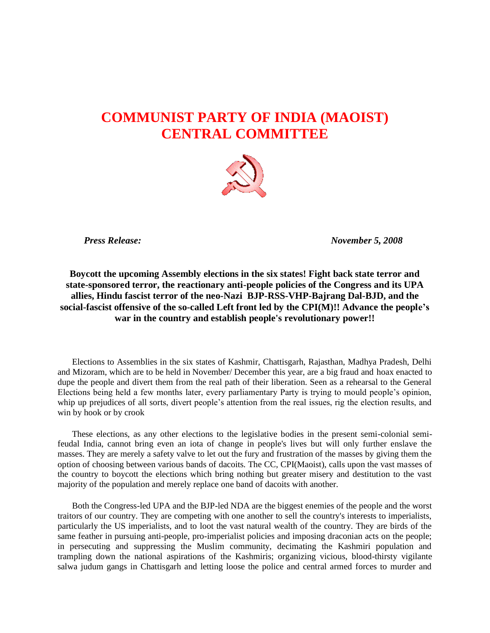## **COMMUNIST PARTY OF INDIA (MAOIST) CENTRAL COMMITTEE**



 *Press Release: November 5, 2008*

**Boycott the upcoming Assembly elections in the six states! Fight back state terror and state-sponsored terror, the reactionary anti-people policies of the Congress and its UPA allies, Hindu fascist terror of the neo-Nazi BJP-RSS-VHP-Bajrang Dal-BJD, and the social-fascist offensive of the so-called Left front led by the CPI(M)!! Advance the people's war in the country and establish people's revolutionary power!!**

Elections to Assemblies in the six states of Kashmir, Chattisgarh, Rajasthan, Madhya Pradesh, Delhi and Mizoram, which are to be held in November/ December this year, are a big fraud and hoax enacted to dupe the people and divert them from the real path of their liberation. Seen as a rehearsal to the General Elections being held a few months later, every parliamentary Party is trying to mould people's opinion, whip up prejudices of all sorts, divert people's attention from the real issues, rig the election results, and win by hook or by crook

These elections, as any other elections to the legislative bodies in the present semi-colonial semifeudal India, cannot bring even an iota of change in people's lives but will only further enslave the masses. They are merely a safety valve to let out the fury and frustration of the masses by giving them the option of choosing between various bands of dacoits. The CC, CPI(Maoist), calls upon the vast masses of the country to boycott the elections which bring nothing but greater misery and destitution to the vast majority of the population and merely replace one band of dacoits with another.

Both the Congress-led UPA and the BJP-led NDA are the biggest enemies of the people and the worst traitors of our country. They are competing with one another to sell the country's interests to imperialists, particularly the US imperialists, and to loot the vast natural wealth of the country. They are birds of the same feather in pursuing anti-people, pro-imperialist policies and imposing draconian acts on the people; in persecuting and suppressing the Muslim community, decimating the Kashmiri population and trampling down the national aspirations of the Kashmiris; organizing vicious, blood-thirsty vigilante salwa judum gangs in Chattisgarh and letting loose the police and central armed forces to murder and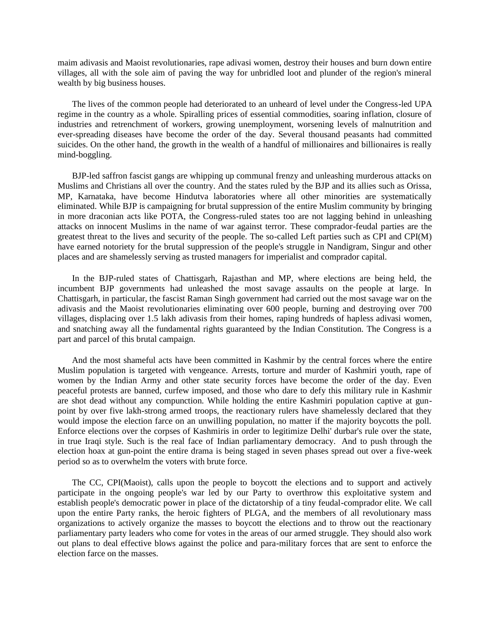maim adivasis and Maoist revolutionaries, rape adivasi women, destroy their houses and burn down entire villages, all with the sole aim of paving the way for unbridled loot and plunder of the region's mineral wealth by big business houses.

The lives of the common people had deteriorated to an unheard of level under the Congress-led UPA regime in the country as a whole. Spiralling prices of essential commodities, soaring inflation, closure of industries and retrenchment of workers, growing unemployment, worsening levels of malnutrition and ever-spreading diseases have become the order of the day. Several thousand peasants had committed suicides. On the other hand, the growth in the wealth of a handful of millionaires and billionaires is really mind-boggling.

BJP-led saffron fascist gangs are whipping up communal frenzy and unleashing murderous attacks on Muslims and Christians all over the country. And the states ruled by the BJP and its allies such as Orissa, MP, Karnataka, have become Hindutva laboratories where all other minorities are systematically eliminated. While BJP is campaigning for brutal suppression of the entire Muslim community by bringing in more draconian acts like POTA, the Congress-ruled states too are not lagging behind in unleashing attacks on innocent Muslims in the name of war against terror. These comprador-feudal parties are the greatest threat to the lives and security of the people. The so-called Left parties such as CPI and CPI(M) have earned notoriety for the brutal suppression of the people's struggle in Nandigram, Singur and other places and are shamelessly serving as trusted managers for imperialist and comprador capital.

In the BJP-ruled states of Chattisgarh, Rajasthan and MP, where elections are being held, the incumbent BJP governments had unleashed the most savage assaults on the people at large. In Chattisgarh, in particular, the fascist Raman Singh government had carried out the most savage war on the adivasis and the Maoist revolutionaries eliminating over 600 people, burning and destroying over 700 villages, displacing over 1.5 lakh adivasis from their homes, raping hundreds of hapless adivasi women, and snatching away all the fundamental rights guaranteed by the Indian Constitution. The Congress is a part and parcel of this brutal campaign.

And the most shameful acts have been committed in Kashmir by the central forces where the entire Muslim population is targeted with vengeance. Arrests, torture and murder of Kashmiri youth, rape of women by the Indian Army and other state security forces have become the order of the day. Even peaceful protests are banned, curfew imposed, and those who dare to defy this military rule in Kashmir are shot dead without any compunction. While holding the entire Kashmiri population captive at gunpoint by over five lakh-strong armed troops, the reactionary rulers have shamelessly declared that they would impose the election farce on an unwilling population, no matter if the majority boycotts the poll. Enforce elections over the corpses of Kashmiris in order to legitimize Delhi' durbar's rule over the state, in true Iraqi style. Such is the real face of Indian parliamentary democracy. And to push through the election hoax at gun-point the entire drama is being staged in seven phases spread out over a five-week period so as to overwhelm the voters with brute force.

The CC, CPI(Maoist), calls upon the people to boycott the elections and to support and actively participate in the ongoing people's war led by our Party to overthrow this exploitative system and establish people's democratic power in place of the dictatorship of a tiny feudal-comprador elite. We call upon the entire Party ranks, the heroic fighters of PLGA, and the members of all revolutionary mass organizations to actively organize the masses to boycott the elections and to throw out the reactionary parliamentary party leaders who come for votes in the areas of our armed struggle. They should also work out plans to deal effective blows against the police and para-military forces that are sent to enforce the election farce on the masses.